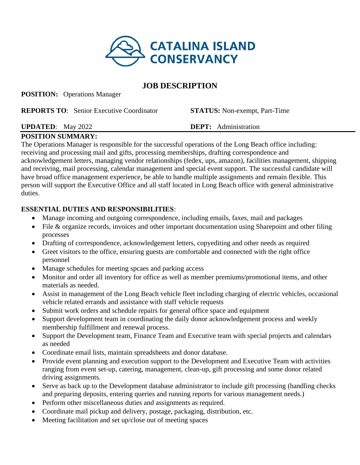

# **JOB DESCRIPTION**

**POSITION:** Operations Manager

| <b>REPORTS TO:</b> Senior Executive Coordinator | <b>STATUS:</b> Non-exempt, Part-Time |
|-------------------------------------------------|--------------------------------------|
|                                                 |                                      |

### **UPDATED**: May 2022 **DEPT:** Administration

### **POSITION SUMMARY:**

The Operations Manager is responsible for the successful operations of the Long Beach office including: receiving and processing mail and gifts, processing memberships, drafting correspondence and acknowledgement letters, managing vendor relationships (fedex, ups, amazon), facilities management, shipping and receiving, mail processing, calendar management and special event support. The successful candidate will have broad office management experience, be able to handle multiple assignments and remain flexible. This person will support the Executive Office and all staff located in Long Beach office with general administrative duties.

## **ESSENTIAL DUTIES AND RESPONSIBILITIES**:

- Manage incoming and outgoing correspondence, including emails, faxes, mail and packages
- File & organize records, invoices and other important documentation using Sharepoint and other filing processes
- Drafting of correspondence, acknowledgement letters, copyediting and other needs as required
- Greet visitors to the office, ensuring guests are comfortable and connected with the right office personnel
- Manage schedules for meeting spcaes and parking access
- Monitor and order all inventory for office as well as member premiums/promotional items, and other materials as needed.
- Assist in management of the Long Beach vehicle fleet including charging of electric vehicles, occasional vehicle related errands and assistance with staff vehicle requests
- Submit work orders and schedule repairs for general office space and equipment
- Support development team in coordinating the daily donor acknowledgement process and weekly membership fulfillment and renewal process.
- Support the Development team, Finance Team and Executive team with special projects and calendars as needed
- Coordinate email lists, maintain spreadsheets and donor database.
- Provide event planning and execution support to the Development and Executive Team with activities ranging from event set-up, catering, management, clean-up, gift processing and some donor related driving assignments.
- Serve as back up to the Development database administrator to include gift processing (handling checks and preparing deposits, entering queries and running reports for various management needs.)
- Perform other miscellaneous duties and assignments as required.
- Coordinate mail pickup and delivery, postage, packaging, distribution, etc.
- Meeting facilitation and set up/close out of meeting spaces